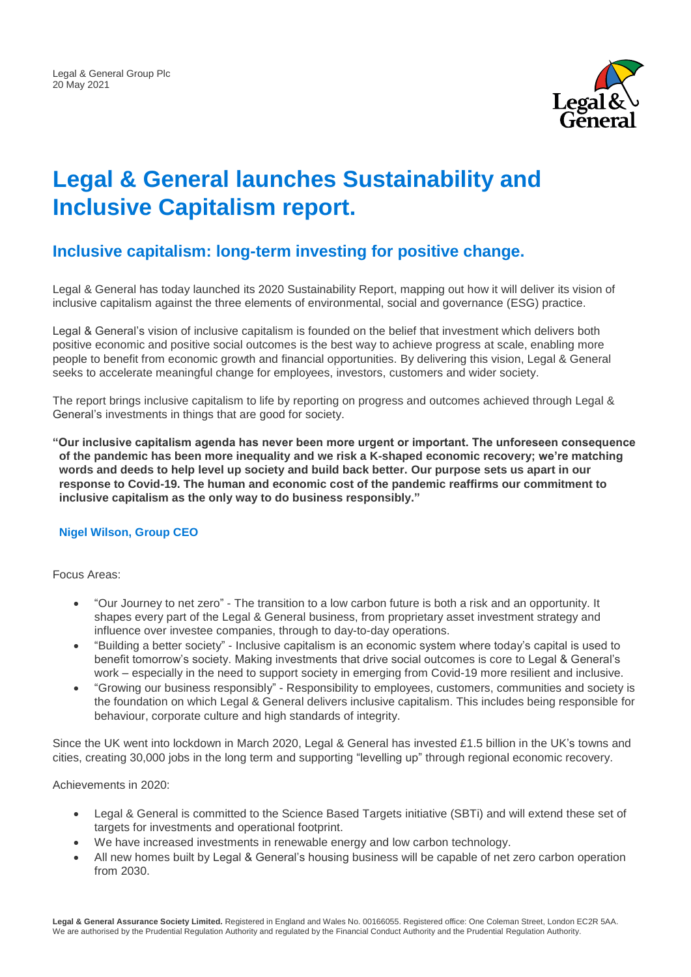

# **Legal & General launches Sustainability and Inclusive Capitalism report.**

## **Inclusive capitalism: long-term investing for positive change.**

Legal & General has today launched its 2020 Sustainability Report, mapping out how it will deliver its vision of inclusive capitalism against the three elements of environmental, social and governance (ESG) practice.

Legal & General's vision of inclusive capitalism is founded on the belief that investment which delivers both positive economic and positive social outcomes is the best way to achieve progress at scale, enabling more people to benefit from economic growth and financial opportunities. By delivering this vision, Legal & General seeks to accelerate meaningful change for employees, investors, customers and wider society.

The report brings inclusive capitalism to life by reporting on progress and outcomes achieved through Legal & General's investments in things that are good for society.

**"Our inclusive capitalism agenda has never been more urgent or important. The unforeseen consequence of the pandemic has been more inequality and we risk a K-shaped economic recovery; we're matching words and deeds to help level up society and build back better. Our purpose sets us apart in our response to Covid-19. The human and economic cost of the pandemic reaffirms our commitment to inclusive capitalism as the only way to do business responsibly."**

#### **Nigel Wilson, Group CEO**

Focus Areas:

- "Our Journey to net zero" The transition to a low carbon future is both a risk and an opportunity. It shapes every part of the Legal & General business, from proprietary asset investment strategy and influence over investee companies, through to day-to-day operations.
- "Building a better society" Inclusive capitalism is an economic system where today's capital is used to benefit tomorrow's society. Making investments that drive social outcomes is core to Legal & General's work – especially in the need to support society in emerging from Covid-19 more resilient and inclusive.
- "Growing our business responsibly" Responsibility to employees, customers, communities and society is the foundation on which Legal & General delivers inclusive capitalism. This includes being responsible for behaviour, corporate culture and high standards of integrity.

Since the UK went into lockdown in March 2020, Legal & General has invested £1.5 billion in the UK's towns and cities, creating 30,000 jobs in the long term and supporting "levelling up" through regional economic recovery.

Achievements in 2020:

- Legal & General is committed to the Science Based Targets initiative (SBTi) and will extend these set of targets for investments and operational footprint.
- We have increased investments in renewable energy and low carbon technology.
- All new homes built by Legal & General's housing business will be capable of net zero carbon operation from 2030.